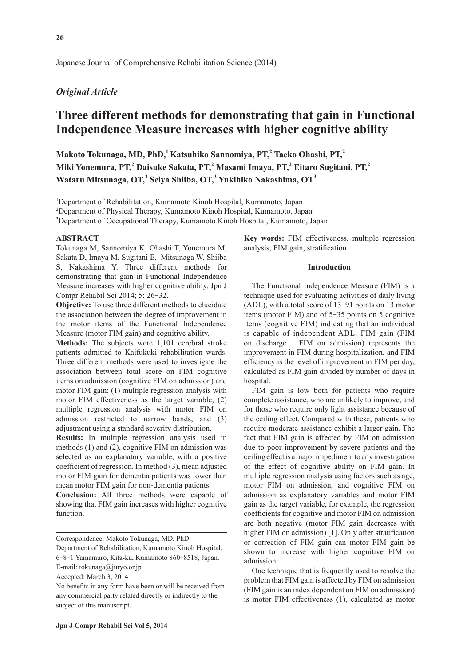Japanese Journal of Comprehensive Rehabilitation Science (2014)

## *Original Article*

# **Three different methods for demonstrating that gain in Functional Independence Measure increases with higher cognitive ability**

**Makoto Tokunaga, MD, PhD,1 Katsuhiko Sannomiya, PT,2 Taeko Ohashi, PT,2 Miki Yonemura, PT,2 Daisuke Sakata, PT,<sup>2</sup> Masami Imaya, PT,<sup>2</sup> Eitaro Sugitani, PT,2 Wataru Mitsunaga, OT,3 Seiya Shiiba, OT,3 Yukihiko Nakashima, OT<sup>3</sup>**

<sup>1</sup>Department of Rehabilitation, Kumamoto Kinoh Hospital, Kumamoto, Japan

2 Department of Physical Therapy, Kumamoto Kinoh Hospital, Kumamoto, Japan

3 Department of Occupational Therapy, Kumamoto Kinoh Hospital, Kumamoto, Japan

### **ABSTRACT**

Tokunaga M, Sannomiya K, Ohashi T, Yonemura M, Sakata D, Imaya M, Sugitani E, Mitsunaga W, Shiiba S, Nakashima Y. Three different methods for demonstrating that gain in Functional Independence Measure increases with higher cognitive ability. Jpn J Compr Rehabil Sci 2014; 5: 26-32.

**Objective:** To use three different methods to elucidate the association between the degree of improvement in the motor items of the Functional Independence Measure (motor FIM gain) and cognitive ability.

**Methods:** The subjects were 1,101 cerebral stroke patients admitted to Kaifukuki rehabilitation wards. Three different methods were used to investigate the association between total score on FIM cognitive items on admission (cognitive FIM on admission) and motor FIM gain: (1) multiple regression analysis with motor FIM effectiveness as the target variable, (2) multiple regression analysis with motor FIM on admission restricted to narrow bands, and (3) adjustment using a standard severity distribution.

**Results:** In multiple regression analysis used in methods (1) and (2), cognitive FIM on admission was selected as an explanatory variable, with a positive coefficient of regression. In method (3), mean adjusted motor FIM gain for dementia patients was lower than mean motor FIM gain for non-dementia patients.

**Conclusion:** All three methods were capable of showing that FIM gain increases with higher cognitive function.

Correspondence: Makoto Tokunaga, MD, PhD

Department of Rehabilitation, Kumamoto Kinoh Hospital, 6-8-1 Yamamuro, Kita-ku, Kumamoto 860-8518, Japan.

E-mail: tokunaga@juryo.or.jp

Accepted: March 3, 2014

**Key words:** FIM effectiveness, multiple regression analysis, FIM gain, stratification

## **Introduction**

The Functional Independence Measure (FIM) is a technique used for evaluating activities of daily living (ADL), with a total score of 13-91 points on 13 motor items (motor FIM) and of 5-35 points on 5 cognitive items (cognitive FIM) indicating that an individual is capable of independent ADL. FIM gain (FIM on discharge - FIM on admission) represents the improvement in FIM during hospitalization, and FIM efficiency is the level of improvement in FIM per day, calculated as FIM gain divided by number of days in hospital.

FIM gain is low both for patients who require complete assistance, who are unlikely to improve, and for those who require only light assistance because of the ceiling effect. Compared with these, patients who require moderate assistance exhibit a larger gain. The fact that FIM gain is affected by FIM on admission due to poor improvement by severe patients and the ceiling effect is a major impediment to any investigation of the effect of cognitive ability on FIM gain. In multiple regression analysis using factors such as age, motor FIM on admission, and cognitive FIM on admission as explanatory variables and motor FIM gain as the target variable, for example, the regression coefficients for cognitive and motor FIM on admission are both negative (motor FIM gain decreases with higher FIM on admission) [1]. Only after stratification or correction of FIM gain can motor FIM gain be shown to increase with higher cognitive FIM on admission.

One technique that is frequently used to resolve the problem that FIM gain is affected by FIM on admission (FIM gain is an index dependent on FIM on admission) is motor FIM effectiveness (1), calculated as motor

No benefits in any form have been or will be received from any commercial party related directly or indirectly to the subject of this manuscript.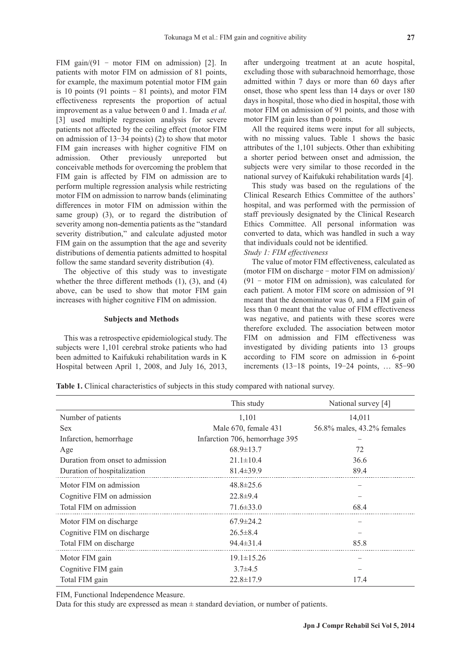FIM gain/(91 - motor FIM on admission) [2]. In patients with motor FIM on admission of 81 points, for example, the maximum potential motor FIM gain is 10 points (91 points  $-81$  points), and motor FIM effectiveness represents the proportion of actual improvement as a value between 0 and 1. Imada *et al.*  [3] used multiple regression analysis for severe patients not affected by the ceiling effect (motor FIM on admission of 13-34 points) (2) to show that motor FIM gain increases with higher cognitive FIM on admission. Other previously unreported but conceivable methods for overcoming the problem that FIM gain is affected by FIM on admission are to perform multiple regression analysis while restricting motor FIM on admission to narrow bands (eliminating differences in motor FIM on admission within the same group) (3), or to regard the distribution of severity among non-dementia patients as the "standard severity distribution," and calculate adjusted motor FIM gain on the assumption that the age and severity distributions of dementia patients admitted to hospital follow the same standard severity distribution (4).

The objective of this study was to investigate whether the three different methods  $(1)$ ,  $(3)$ , and  $(4)$ above, can be used to show that motor FIM gain increases with higher cognitive FIM on admission.

#### **Subjects and Methods**

This was a retrospective epidemiological study. The subjects were 1,101 cerebral stroke patients who had been admitted to Kaifukuki rehabilitation wards in K Hospital between April 1, 2008, and July 16, 2013, after undergoing treatment at an acute hospital, excluding those with subarachnoid hemorrhage, those admitted within 7 days or more than 60 days after onset, those who spent less than 14 days or over 180 days in hospital, those who died in hospital, those with motor FIM on admission of 91 points, and those with motor FIM gain less than 0 points.

All the required items were input for all subjects, with no missing values. Table 1 shows the basic attributes of the 1,101 subjects. Other than exhibiting a shorter period between onset and admission, the subjects were very similar to those recorded in the national survey of Kaifukuki rehabilitation wards [4].

This study was based on the regulations of the Clinical Research Ethics Committee of the authors' hospital, and was performed with the permission of staff previously designated by the Clinical Research Ethics Committee. All personal information was converted to data, which was handled in such a way that individuals could not be identified.

## *Study 1: FIM effectiveness*

The value of motor FIM effectiveness, calculated as (motor FIM on discharge - motor FIM on admission)/ (91 - motor FIM on admission), was calculated for each patient. A motor FIM score on admission of 91 meant that the denominator was 0, and a FIM gain of less than 0 meant that the value of FIM effectiveness was negative, and patients with these scores were therefore excluded. The association between motor FIM on admission and FIM effectiveness was investigated by dividing patients into 13 groups according to FIM score on admission in 6-point increments (13-18 points, 19-24 points, … 85-90

**Table 1.** Clinical characteristics of subjects in this study compared with national survey.

|                                  | This study                     | National survey [4]        |  |  |  |
|----------------------------------|--------------------------------|----------------------------|--|--|--|
| Number of patients               | 1,101                          | 14,011                     |  |  |  |
| <b>Sex</b>                       | Male 670, female 431           | 56.8% males, 43.2% females |  |  |  |
| Infarction, hemorrhage           | Infarction 706, hemorrhage 395 |                            |  |  |  |
| Age                              | $68.9 \pm 13.7$                | 72                         |  |  |  |
| Duration from onset to admission | $21.1 \pm 10.4$                | 36.6                       |  |  |  |
| Duration of hospitalization      | $81.4 \pm 39.9$                | 89.4                       |  |  |  |
| Motor FIM on admission           | $48.8 \pm 25.6$                |                            |  |  |  |
| Cognitive FIM on admission       | $22.8 \pm 9.4$                 |                            |  |  |  |
| Total FIM on admission           | $71.6 \pm 33.0$                | 68.4                       |  |  |  |
| Motor FIM on discharge           | $67.9 \pm 24.2$                |                            |  |  |  |
| Cognitive FIM on discharge       | $26.5 \pm 8.4$                 |                            |  |  |  |
| Total FIM on discharge           | $94.4 \pm 31.4$                | 85.8                       |  |  |  |
| Motor FIM gain                   | $19.1 \pm 15.26$               |                            |  |  |  |
| Cognitive FIM gain               | $3.7\pm4.5$                    |                            |  |  |  |
| Total FIM gain                   | $22.8 \pm 17.9$                | 17.4                       |  |  |  |

FIM, Functional Independence Measure.

Data for this study are expressed as mean  $\pm$  standard deviation, or number of patients.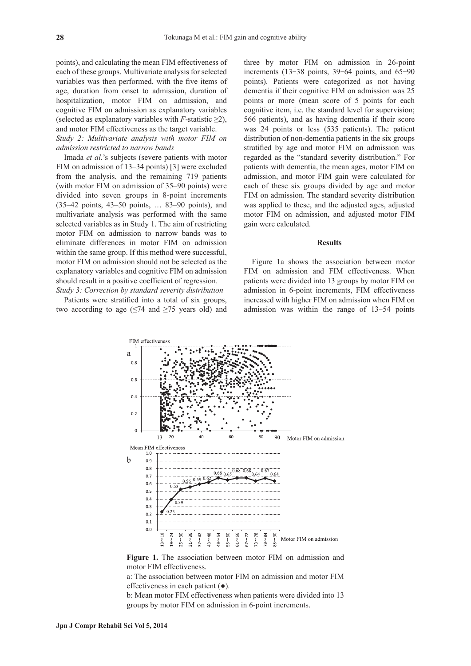points), and calculating the mean FIM effectiveness of each of these groups. Multivariate analysis for selected variables was then performed, with the five items of age, duration from onset to admission, duration of hospitalization, motor FIM on admission, and cognitive FIM on admission as explanatory variables (selected as explanatory variables with  $F$ -statistic  $\geq 2$ ), and motor FIM effectiveness as the target variable.

*Study 2: Multivariate analysis with motor FIM on admission restricted to narrow bands*

Imada *et al.*'s subjects (severe patients with motor FIM on admission of 13–34 points) [3] were excluded from the analysis, and the remaining 719 patients (with motor FIM on admission of 35–90 points) were divided into seven groups in 8-point increments (35–42 points, 43–50 points, … 83–90 points), and multivariate analysis was performed with the same selected variables as in Study 1. The aim of restricting motor FIM on admission to narrow bands was to eliminate differences in motor FIM on admission within the same group. If this method were successful, motor FIM on admission should not be selected as the explanatory variables and cognitive FIM on admission should result in a positive coefficient of regression. *Study 3: Correction by standard severity distribution*

Patients were stratified into a total of six groups, two according to age  $(\leq 74$  and  $\geq 75$  years old) and three by motor FIM on admission in 26-point increments (13-38 points, 39-64 points, and 65-90 points). Patients were categorized as not having dementia if their cognitive FIM on admission was 25 points or more (mean score of 5 points for each cognitive item, i.e. the standard level for supervision; 566 patients), and as having dementia if their score was 24 points or less (535 patients). The patient distribution of non-dementia patients in the six groups stratified by age and motor FIM on admission was regarded as the "standard severity distribution." For patients with dementia, the mean ages, motor FIM on admission, and motor FIM gain were calculated for each of these six groups divided by age and motor FIM on admission. The standard severity distribution was applied to these, and the adjusted ages, adjusted motor FIM on admission, and adjusted motor FIM gain were calculated.

#### **Results**

Figure 1a shows the association between motor FIM on admission and FIM effectiveness. When patients were divided into 13 groups by motor FIM on admission in 6-point increments, FIM effectiveness increased with higher FIM on admission when FIM on admission was within the range of 13-54 points



**Figure 1.** The association between motor FIM on admission and motor FIM effectiveness.

a: The association between motor FIM on admission and motor FIM effectiveness in each patient (●).

b: Mean motor FIM effectiveness when patients were divided into 13 groups by motor FIM on admission in 6-point increments.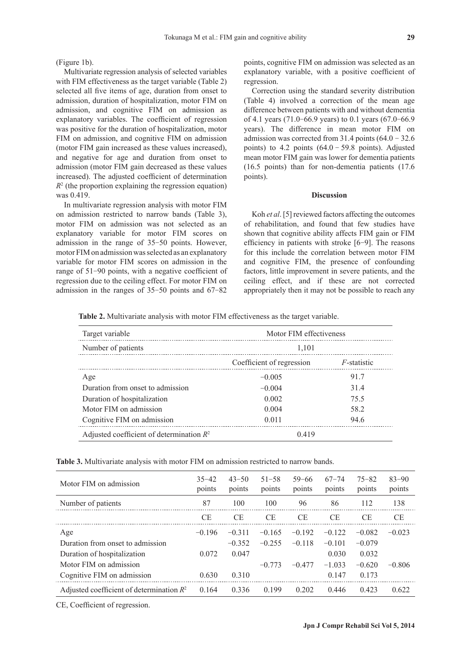(Figure 1b).

Multivariate regression analysis of selected variables with FIM effectiveness as the target variable (Table 2) selected all five items of age, duration from onset to admission, duration of hospitalization, motor FIM on admission, and cognitive FIM on admission as explanatory variables. The coefficient of regression was positive for the duration of hospitalization, motor FIM on admission, and cognitive FIM on admission (motor FIM gain increased as these values increased), and negative for age and duration from onset to admission (motor FIM gain decreased as these values increased). The adjusted coefficient of determination  $R<sup>2</sup>$  (the proportion explaining the regression equation) was 0.419.

In multivariate regression analysis with motor FIM on admission restricted to narrow bands (Table 3), motor FIM on admission was not selected as an explanatory variable for motor FIM scores on admission in the range of 35-50 points. However, motor FIM on admission was selected as an explanatory variable for motor FIM scores on admission in the range of 51-90 points, with a negative coefficient of regression due to the ceiling effect. For motor FIM on admission in the ranges of 35-50 points and 67-82 points, cognitive FIM on admission was selected as an explanatory variable, with a positive coefficient of regression.

Correction using the standard severity distribution (Table 4) involved a correction of the mean age difference between patients with and without dementia of 4.1 years (71.0-66.9 years) to 0.1 years (67.0-66.9 years). The difference in mean motor FIM on admission was corrected from 31.4 points  $(64.0 - 32.6)$ points) to 4.2 points  $(64.0 - 59.8 \text{ points})$ . Adjusted mean motor FIM gain was lower for dementia patients (16.5 points) than for non-dementia patients (17.6 points).

## **Discussion**

Koh *et al*. [5] reviewed factors affecting the outcomes of rehabilitation, and found that few studies have shown that cognitive ability affects FIM gain or FIM efficiency in patients with stroke [6-9]. The reasons for this include the correlation between motor FIM and cognitive FIM, the presence of confounding factors, little improvement in severe patients, and the ceiling effect, and if these are not corrected appropriately then it may not be possible to reach any

**Table 2.** Multivariate analysis with motor FIM effectiveness as the target variable.

| Target variable                             | Motor FIM effectiveness   |                |  |  |  |
|---------------------------------------------|---------------------------|----------------|--|--|--|
| Number of patients                          | 1,101                     |                |  |  |  |
|                                             | Coefficient of regression | $F$ -statistic |  |  |  |
| Age                                         | $-0.005$                  | 91.7           |  |  |  |
| Duration from onset to admission            | $-0.004$                  | 31.4           |  |  |  |
| Duration of hospitalization                 | 0.002                     | 75.5           |  |  |  |
| Motor FIM on admission                      | 0.004                     | 58.2           |  |  |  |
| Cognitive FIM on admission                  | 0.011                     | 94.6           |  |  |  |
| Adjusted coefficient of determination $R^2$ | 0.419                     |                |  |  |  |

**Table 3.** Multivariate analysis with motor FIM on admission restricted to narrow bands.

| Motor FIM on admission                      | $35 - 42$<br>points | $43 - 50$<br>points | $51 - 58$<br>points | $59 - 66$<br>points | $67 - 74$<br>points | $75 - 82$<br>points | $83 - 90$<br>points |
|---------------------------------------------|---------------------|---------------------|---------------------|---------------------|---------------------|---------------------|---------------------|
| Number of patients                          | 87                  | 100                 | 100                 | 96                  | 86                  | 112                 | 138                 |
|                                             | CE                  | CE.                 | СE                  | CE                  | СE                  | CE                  | СE                  |
| Age                                         | $-0.196$            | $-0.311$            | $-0.165$            | $-0.192$            | $-0.122$            | $-0.082$            | $-0.023$            |
| Duration from onset to admission            |                     | $-0.352$            | $-0.255$            | $-0.118$            | $-0.101$            | $-0.079$            |                     |
| Duration of hospitalization                 | 0.072               | 0.047               |                     |                     | 0.030               | 0.032               |                     |
| Motor FIM on admission                      |                     |                     | $-0.773$            | $-0.477$            | $-1.033$            | $-0.620$            | $-0.806$            |
| Cognitive FIM on admission                  | 0.630               | 0.310               |                     |                     | 0.147               | 0.173               |                     |
| Adjusted coefficient of determination $R^2$ | 0.164               | 0.336               | 0.199               | 0.202               | 0.446               | 0.423               | 0.622               |

CE, Coefficient of regression.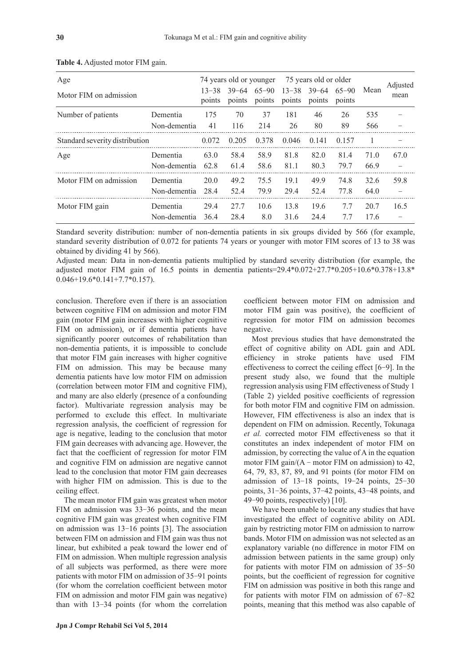| Age<br>Motor FIM on admission  |                          | $13 - 38$<br>points | 74 years old or younger<br>$39 - 64$<br>points | $65 - 90$<br>points | $13 - 38$<br>points | 75 years old or older<br>$39 - 64$<br>points | $65 - 90$<br>points | Mean         | Adjusted<br>mean |
|--------------------------------|--------------------------|---------------------|------------------------------------------------|---------------------|---------------------|----------------------------------------------|---------------------|--------------|------------------|
| Number of patients             | Dementia<br>Non-dementia | 175<br>41           | 70<br>116                                      | 37<br>214           | 181<br>26           | 46<br>80                                     | 26<br>89            | 535<br>566   |                  |
| Standard severity distribution |                          | 0.072               | 0.205                                          | 0.378               | 0.046               | 0.141                                        | 0.157               |              |                  |
| Age                            | Dementia<br>Non-dementia | 63.0<br>62.8        | 58.4<br>61.4                                   | 58.9<br>58.6        | 81.8<br>81.1        | 82.0<br>80.3                                 | 81.4<br>79.7        | 71.0<br>66.9 | 67.0             |
| Motor FIM on admission         | Dementia<br>Non-dementia | 20.0<br>28.4        | 49.2<br>52.4                                   | 75.5<br>79.9        | 19.1<br>29.4        | 49.9<br>52.4                                 | 74.8<br>77.8        | 32.6<br>64.0 | 59.8             |
| Motor FIM gain                 | Dementia<br>Non-dementia | 29.4<br>36.4        | 27.7<br>28.4                                   | 10.6<br>8.0         | 13.8<br>31.6        | 19.6<br>24.4                                 | 7.7<br>7.7          | 20.7<br>17.6 | 16.5             |

**Table 4.** Adjusted motor FIM gain.

Standard severity distribution: number of non-dementia patients in six groups divided by 566 (for example, standard severity distribution of 0.072 for patients 74 years or younger with motor FIM scores of 13 to 38 was obtained by dividing 41 by 566).

Adjusted mean: Data in non-dementia patients multiplied by standard severity distribution (for example, the adjusted motor FIM gain of 16.5 points in dementia patients=29.4\*0.072+27.7\*0.205+10.6\*0.378+13.8\* 0.046+19.6\*0.141+7.7\*0.157).

conclusion. Therefore even if there is an association between cognitive FIM on admission and motor FIM gain (motor FIM gain increases with higher cognitive FIM on admission), or if dementia patients have significantly poorer outcomes of rehabilitation than non-dementia patients, it is impossible to conclude that motor FIM gain increases with higher cognitive FIM on admission. This may be because many dementia patients have low motor FIM on admission (correlation between motor FIM and cognitive FIM), and many are also elderly (presence of a confounding factor). Multivariate regression analysis may be performed to exclude this effect. In multivariate regression analysis, the coefficient of regression for age is negative, leading to the conclusion that motor FIM gain decreases with advancing age. However, the fact that the coefficient of regression for motor FIM and cognitive FIM on admission are negative cannot lead to the conclusion that motor FIM gain decreases with higher FIM on admission. This is due to the ceiling effect.

The mean motor FIM gain was greatest when motor FIM on admission was 33-36 points, and the mean cognitive FIM gain was greatest when cognitive FIM on admission was 13-16 points [3]. The association between FIM on admission and FIM gain was thus not linear, but exhibited a peak toward the lower end of FIM on admission. When multiple regression analysis of all subjects was performed, as there were more patients with motor FIM on admission of 35-91 points (for whom the correlation coefficient between motor FIM on admission and motor FIM gain was negative) than with 13-34 points (for whom the correlation coefficient between motor FIM on admission and motor FIM gain was positive), the coefficient of regression for motor FIM on admission becomes negative.

Most previous studies that have demonstrated the effect of cognitive ability on ADL gain and ADL efficiency in stroke patients have used FIM effectiveness to correct the ceiling effect [6-9]. In the present study also, we found that the multiple regression analysis using FIM effectiveness of Study 1 (Table 2) yielded positive coefficients of regression for both motor FIM and cognitive FIM on admission. However, FIM effectiveness is also an index that is dependent on FIM on admission. Recently, Tokunaga *et al.* corrected motor FIM effectiveness so that it constitutes an index independent of motor FIM on admission, by correcting the value of A in the equation motor FIM gain/ $(A - motor FIM on admission)$  to 42, 64, 79, 83, 87, 89, and 91 points (for motor FIM on admission of 13-18 points, 19-24 points, 25-30 points, 31-36 points, 37-42 points, 43-48 points, and 49-90 points, respectively) [10].

We have been unable to locate any studies that have investigated the effect of cognitive ability on ADL gain by restricting motor FIM on admission to narrow bands. Motor FIM on admission was not selected as an explanatory variable (no difference in motor FIM on admission between patients in the same group) only for patients with motor FIM on admission of 35-50 points, but the coefficient of regression for cognitive FIM on admission was positive in both this range and for patients with motor FIM on admission of 67-82 points, meaning that this method was also capable of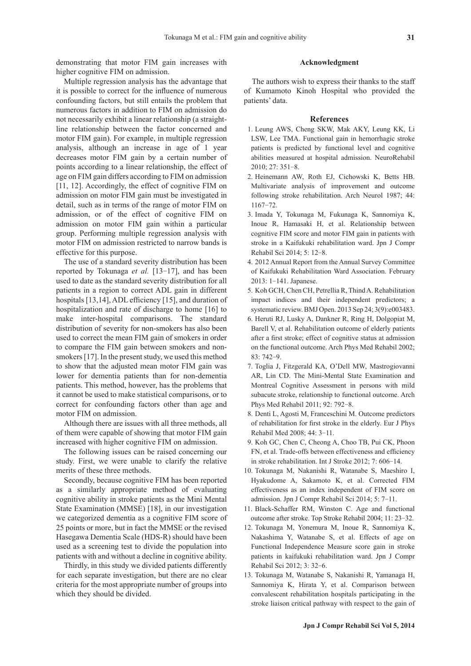demonstrating that motor FIM gain increases with higher cognitive FIM on admission.

Multiple regression analysis has the advantage that it is possible to correct for the influence of numerous confounding factors, but still entails the problem that numerous factors in addition to FIM on admission do not necessarily exhibit a linear relationship (a straightline relationship between the factor concerned and motor FIM gain). For example, in multiple regression analysis, although an increase in age of 1 year decreases motor FIM gain by a certain number of points according to a linear relationship, the effect of age on FIM gain differs according to FIM on admission [11, 12]. Accordingly, the effect of cognitive FIM on admission on motor FIM gain must be investigated in detail, such as in terms of the range of motor FIM on admission, or of the effect of cognitive FIM on admission on motor FIM gain within a particular group. Performing multiple regression analysis with motor FIM on admission restricted to narrow bands is effective for this purpose.

The use of a standard severity distribution has been reported by Tokunaga *et al.* [13-17], and has been used to date as the standard severity distribution for all patients in a region to correct ADL gain in different hospitals [13,14], ADL efficiency [15], and duration of hospitalization and rate of discharge to home [16] to make inter-hospital comparisons. The standard distribution of severity for non-smokers has also been used to correct the mean FIM gain of smokers in order to compare the FIM gain between smokers and nonsmokers [17]. In the present study, we used this method to show that the adjusted mean motor FIM gain was lower for dementia patients than for non-dementia patients. This method, however, has the problems that it cannot be used to make statistical comparisons, or to correct for confounding factors other than age and motor FIM on admission.

Although there are issues with all three methods, all of them were capable of showing that motor FIM gain increased with higher cognitive FIM on admission.

The following issues can be raised concerning our study. First, we were unable to clarify the relative merits of these three methods.

Secondly, because cognitive FIM has been reported as a similarly appropriate method of evaluating cognitive ability in stroke patients as the Mini Mental State Examination (MMSE) [18], in our investigation we categorized dementia as a cognitive FIM score of 25 points or more, but in fact the MMSE or the revised Hasegawa Dementia Scale (HDS-R) should have been used as a screening test to divide the population into patients with and without a decline in cognitive ability.

Thirdly, in this study we divided patients differently for each separate investigation, but there are no clear criteria for the most appropriate number of groups into which they should be divided.

#### **Acknowledgment**

The authors wish to express their thanks to the staff of Kumamoto Kinoh Hospital who provided the patients' data.

#### **References**

- 1. Leung AWS, Cheng SKW, Mak AKY, Leung KK, Li LSW, Lee TMA. Functional gain in hemorrhagic stroke patients is predicted by functional level and cognitive abilities measured at hospital admission. NeuroRehabil 2010; 27: 351-8.
- 2. Heinemann AW, Roth EJ, Cichowski K, Betts HB. Multivariate analysis of improvement and outcome following stroke rehabilitation. Arch Neurol 1987; 44: 1167-72.
- 3. Imada Y, Tokunaga M, Fukunaga K, Sannomiya K, Inoue R, Hamasaki H, et al. Relationship between cognitive FIM score and motor FIM gain in patients with stroke in a Kaifukuki rehabilitation ward. Jpn J Compr Rehabil Sci 2014; 5: 12-8.
- 4. 2012 Annual Report from the Annual Survey Committee of Kaifukuki Rehabilitation Ward Association. February 2013: 1-141. Japanese.
- 5. Koh GCH, Chen CH, Petrellia R, Thind A. Rehabilitation impact indices and their independent predictors; a systematic review. BMJ Open. 2013 Sep 24; 3(9):e003483.
- 6. Heruti RJ, Lusky A, Dankner R, Ring H, Dolgopiat M, Barell V, et al. Rehabilitation outcome of elderly patients after a first stroke; effect of cognitive status at admission on the functional outcome. Arch Phys Med Rehabil 2002; 83: 742-9.
- 7. Toglia J, Fitzgerald KA, O'Dell MW, Mastrogiovanni AR, Lin CD. The Mini-Mental State Examination and Montreal Cognitive Assessment in persons with mild subacute stroke, relationship to functional outcome. Arch Phys Med Rehabil 2011; 92: 792-8.
- 8. Denti L, Agosti M, Franceschini M. Outcome predictors of rehabilitation for first stroke in the elderly. Eur J Phys Rehabil Med 2008; 44: 3-11.
- 9. Koh GC, Chen C, Cheong A, Choo TB, Pui CK, Phoon FN, et al. Trade-offs between effectiveness and efficiency in stroke rehabilitation. Int J Stroke 2012; 7: 606-14.
- 10. Tokunaga M, Nakanishi R, Watanabe S, Maeshiro I, Hyakudome A, Sakamoto K, et al. Corrected FIM effectiveness as an index independent of FIM score on admission. Jpn J Compr Rehabil Sci 2014; 5: 7-11.
- 11. Black-Schaffer RM, Winston C. Age and functional outcome after stroke. Top Stroke Rehabil 2004; 11: 23-32.
- 12. Tokunaga M, Yonemura M, Inoue R, Sannomiya K, Nakashima Y, Watanabe S, et al. Effects of age on Functional Independence Measure score gain in stroke patients in kaifukuki rehabilitation ward. Jpn J Compr Rehabil Sci 2012; 3: 32-6.
- 13. Tokunaga M, Watanabe S, Nakanishi R, Yamanaga H, Sannomiya K, Hirata Y, et al. Comparison between convalescent rehabilitation hospitals participating in the stroke liaison critical pathway with respect to the gain of